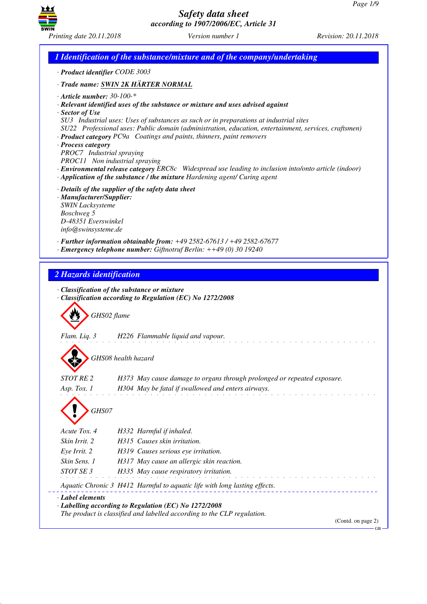GB



*Safety data sheet according to 1907/2006/EC, Article 31*

*1 Identification of the substance/mixture and of the company/undertaking · Product identifier CODE 3003 · Trade name: SWIN 2K HÄRTER NORMAL · Article number: 30-100-\* · Relevant identified uses of the substance or mixture and uses advised against · Sector of Use SU3 Industrial uses: Uses of substances as such or in preparations at industrial sites SU22 Professional uses: Public domain (administration, education, entertainment, services, craftsmen) · Product category PC9a Coatings and paints, thinners, paint removers · Process category PROC7 Industrial spraying PROC11 Non industrial spraying · Environmental release category ERC8c Widespread use leading to inclusion into/onto article (indoor) · Application of the substance / the mixture Hardening agent/ Curing agent · Details of the supplier of the safety data sheet · Manufacturer/Supplier: SWIN Lacksysteme Boschweg 5 D-48351 Everswinkel info@swinsysteme.de · Further information obtainable from: +49 2582-67613 / +49 2582-67677 · Emergency telephone number: Giftnotruf Berlin: ++49 (0) 30 19240 2 Hazards identification · Classification of the substance or mixture · Classification according to Regulation (EC) No 1272/2008* d~*GHS02 flame Flam. Liq. 3 H226 Flammable liquid and vapour.* d~*GHS08 health hazard STOT RE 2 H373 May cause damage to organs through prolonged or repeated exposure. Asp. Tox. 1 H304 May be fatal if swallowed and enters airways.* d~*GHS07 Acute Tox. 4 H332 Harmful if inhaled. Skin Irrit. 2 H315 Causes skin irritation. Eye Irrit. 2 H319 Causes serious eye irritation. Skin Sens. 1 H317 May cause an allergic skin reaction. STOT SE 3 H335 May cause respiratory irritation. Aquatic Chronic 3 H412 Harmful to aquatic life with long lasting effects. · Label elements · Labelling according to Regulation (EC) No 1272/2008 The product is classified and labelled according to the CLP regulation.* (Contd. on page 2)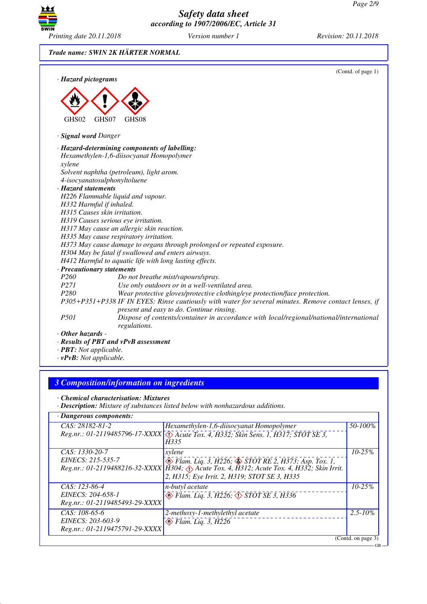GB



*Safety data sheet according to 1907/2006/EC, Article 31*

*Trade name: SWIN 2K HÄRTER NORMAL*

|                              | (Contd. of page 1)                                                                                                                                 |
|------------------------------|----------------------------------------------------------------------------------------------------------------------------------------------------|
| · Hazard pictograms          |                                                                                                                                                    |
|                              |                                                                                                                                                    |
|                              |                                                                                                                                                    |
|                              |                                                                                                                                                    |
| GHS02                        | GHS07<br>GHS08                                                                                                                                     |
|                              |                                                                                                                                                    |
| · Signal word Danger         |                                                                                                                                                    |
|                              | · Hazard-determining components of labelling:                                                                                                      |
|                              | Hexamethylen-1,6-diisocyanat Homopolymer                                                                                                           |
| xylene                       |                                                                                                                                                    |
|                              | Solvent naphtha (petroleum), light arom.                                                                                                           |
|                              | 4-isocyanatosulphonyltoluene                                                                                                                       |
| · Hazard statements          |                                                                                                                                                    |
|                              | H226 Flammable liquid and vapour.                                                                                                                  |
| H332 Harmful if inhaled.     |                                                                                                                                                    |
| H315 Causes skin irritation. |                                                                                                                                                    |
|                              | H319 Causes serious eye irritation.                                                                                                                |
|                              | H317 May cause an allergic skin reaction.                                                                                                          |
|                              | H335 May cause respiratory irritation.                                                                                                             |
|                              | H373 May cause damage to organs through prolonged or repeated exposure.                                                                            |
|                              | H304 May be fatal if swallowed and enters airways.                                                                                                 |
|                              | H412 Harmful to aquatic life with long lasting effects.                                                                                            |
| · Precautionary statements   |                                                                                                                                                    |
| P260                         | Do not breathe mist/vapours/spray.                                                                                                                 |
| P271                         | Use only outdoors or in a well-ventilated area.                                                                                                    |
| P <sub>280</sub>             | Wear protective gloves/protective clothing/eye protection/face protection.                                                                         |
|                              | P305+P351+P338 IF IN EYES: Rinse cautiously with water for several minutes. Remove contact lenses, if<br>present and easy to do. Continue rinsing. |
| P <sub>50</sub> 1            | Dispose of contents/container in accordance with local/regional/national/international<br>regulations.                                             |
| $\cdot$ Other hazards -      |                                                                                                                                                    |
|                              | · Results of PBT and vPvB assessment                                                                                                               |

*· PBT: Not applicable.*

*· vPvB: Not applicable.*

# *3 Composition/information on ingredients*

*· Chemical characterisation: Mixtures*

*· Description: Mixture of substances listed below with nonhazardous additions.*

| $\cdot$ Dangerous components:  |                                                                                                |                    |
|--------------------------------|------------------------------------------------------------------------------------------------|--------------------|
| CAS: 28182-81-2                | Hexamethylen-1,6-diisocyanat Homopolymer                                                       | 50-100%            |
|                                | Reg.nr.: 01-2119485796-17-XXXX \(\) Acute Tox. 4, H332; Skin Sens. 1, H317; STOT SE 3,<br>H335 |                    |
| CAS: 1330-20-7                 | xylene                                                                                         | $10 - 25%$         |
| EINECS: 215-535-7              | $\otimes$ Flam. Liq. 3, H226; $\otimes$ STOT RE 2, H373; Asp. Tox. 1,                          |                    |
|                                | Reg.nr.: 01-2119488216-32-XXXX   H304; Axtile Tox. 4, H312; Acute Tox. 4, H332; Skin Irrit.    |                    |
|                                | 2, H315; Eye Irrit. 2, H319; STOT SE 3, H335                                                   |                    |
| CAS: 123-86-4                  | <i>n-butyl</i> acetate                                                                         | $10 - 25%$         |
| EINECS: 204-658-1              | Elam. Liq. 3, H226; $\diamond$ STOT SE 3, H336                                                 |                    |
| Reg.nr.: 01-2119485493-29-XXXX |                                                                                                |                    |
| CAS: $108-65-6$                | 2-methoxy-1-methylethyl acetate                                                                | $2.5 - 10\%$       |
| EINECS: 203-603-9              | $\otimes$ Flam. Liq. 3, H226                                                                   |                    |
| Reg.nr.: 01-2119475791-29-XXXX |                                                                                                |                    |
|                                |                                                                                                | (Contd. on page 3) |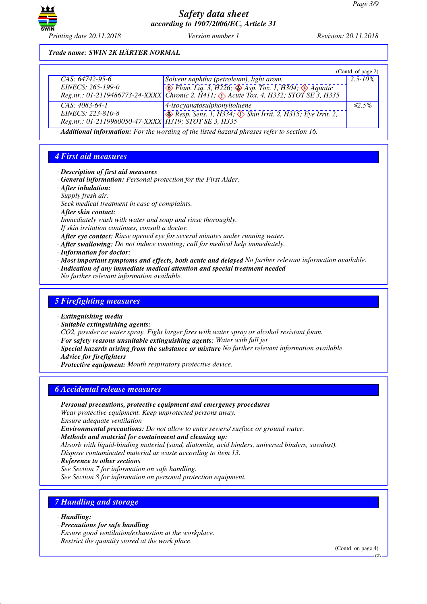

### *Trade name: SWIN 2K HÄRTER NORMAL*

|                                                      |                                                                                                                      | (Contd. of page 2) |
|------------------------------------------------------|----------------------------------------------------------------------------------------------------------------------|--------------------|
| $CAS: 64742-95-6$                                    | Solvent naphtha (petroleum), light arom.                                                                             | $2.5 - 10\%$       |
| EINECS: 265-199-0                                    | $\sqrt{\ }$ Flam. Liq. 3, H226; $\sqrt{\ }$ Asp. Tox. 1, H304; $\sqrt{\ }$ Aquatic                                   |                    |
|                                                      | Reg.nr.: 01-2119486773-24-XXXX Chronic 2, $\hat{H}$ 411; $\langle \cdot \rangle$ Acute Tox. 4, H332; STOT SE 3, H335 |                    |
| $CAS: 4083-64-1$                                     | $\vert$ 4-isocyanatosulphonyltoluene                                                                                 | $\leq$ 5%          |
| EINECS: 223-810-8                                    | $\otimes$ Resp. Sens. 1, H334; $\otimes$ Skin Irrit. 2, H315; Eye Irrit. 2,                                          |                    |
| Reg.nr.: 01-2119980050-47-XXXX H319; STOT SE 3, H335 |                                                                                                                      |                    |

*· Additional information: For the wording of the listed hazard phrases refer to section 16.*

# *4 First aid measures*

- *· Description of first aid measures*
- *· General information: Personal protection for the First Aider.*
- *· After inhalation:*
- *Supply fresh air.*
- *Seek medical treatment in case of complaints.*
- *· After skin contact:*
- *Immediately wash with water and soap and rinse thoroughly.*
- *If skin irritation continues, consult a doctor.*
- *· After eye contact: Rinse opened eye for several minutes under running water.*
- *· After swallowing: Do not induce vomiting; call for medical help immediately.*
- *· Information for doctor:*
- *· Most important symptoms and effects, both acute and delayed No further relevant information available.*
- *· Indication of any immediate medical attention and special treatment needed*
- *No further relevant information available.*

#### *5 Firefighting measures*

- *· Extinguishing media*
- *· Suitable extinguishing agents:*

*CO2, powder or water spray. Fight larger fires with water spray or alcohol resistant foam.*

- *· For safety reasons unsuitable extinguishing agents: Water with full jet*
- *· Special hazards arising from the substance or mixture No further relevant information available.*
- *· Advice for firefighters*
- *· Protective equipment: Mouth respiratory protective device.*

## *6 Accidental release measures*

- *· Personal precautions, protective equipment and emergency procedures Wear protective equipment. Keep unprotected persons away. Ensure adequate ventilation*
- *· Environmental precautions: Do not allow to enter sewers/ surface or ground water.*
- *· Methods and material for containment and cleaning up: Absorb with liquid-binding material (sand, diatomite, acid binders, universal binders, sawdust). Dispose contaminated material as waste according to item 13.*
- *· Reference to other sections See Section 7 for information on safe handling. See Section 8 for information on personal protection equipment.*

## *7 Handling and storage*

- *· Handling:*
- *· Precautions for safe handling*
- *Ensure good ventilation/exhaustion at the workplace. Restrict the quantity stored at the work place.*

(Contd. on page 4)

GB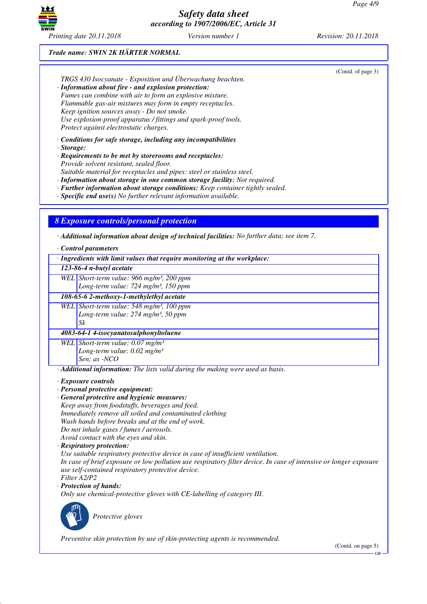

## *Trade name: SWIN 2K HÄRTER NORMAL*

| TRGS 430 Isocyanate - Exposition und Überwachung beachten.<br>· Information about fire - and explosion protection:<br>Fumes can combine with air to form an explosive mixture.<br>Flammable gas-air mixtures may form in empty receptacles.<br>Keep ignition sources away - Do not smoke.<br>Use explosion-proof apparatus / fittings and spark-proof tools.<br>Protect against electrostatic charges.                                                                                                             | (Contd. of page 3) |  |  |
|--------------------------------------------------------------------------------------------------------------------------------------------------------------------------------------------------------------------------------------------------------------------------------------------------------------------------------------------------------------------------------------------------------------------------------------------------------------------------------------------------------------------|--------------------|--|--|
| $\cdot$ Conditions for safe storage, including any incompatibilities<br>$\cdot$ Storage:<br>· Requirements to be met by storerooms and receptacles:<br>Provide solvent resistant, sealed floor.<br>Suitable material for receptacles and pipes: steel or stainless steel.<br>· Information about storage in one common storage facility: Not required.<br>· Further information about storage conditions: Keep container tightly sealed.<br>$\cdot$ Specific end use(s) No further relevant information available. |                    |  |  |
| <b>8 Exposure controls/personal protection</b><br>$\cdot$ Additional information about design of technical facilities: No further data; see item 7.<br>· Control parameters                                                                                                                                                                                                                                                                                                                                        |                    |  |  |
| · Ingredients with limit values that require monitoring at the workplace:                                                                                                                                                                                                                                                                                                                                                                                                                                          |                    |  |  |
| 123-86-4 n-butyl acetate                                                                                                                                                                                                                                                                                                                                                                                                                                                                                           |                    |  |  |
| WEL Short-term value: 966 mg/m <sup>3</sup> , 200 ppm<br>Long-term value: 724 mg/m <sup>3</sup> , 150 ppm                                                                                                                                                                                                                                                                                                                                                                                                          |                    |  |  |
| 108-65-6 2-methoxy-1-methylethyl acetate                                                                                                                                                                                                                                                                                                                                                                                                                                                                           |                    |  |  |
| WEL Short-term value: 548 mg/m <sup>3</sup> , 100 ppm<br>Long-term value: 274 mg/m <sup>3</sup> , 50 ppm<br>Sk                                                                                                                                                                                                                                                                                                                                                                                                     |                    |  |  |
| 4083-64-1 4-isocyanatosulphonyltoluene                                                                                                                                                                                                                                                                                                                                                                                                                                                                             |                    |  |  |
| WEL Short-term value: $0.07$ mg/m <sup>3</sup><br>Long-term value: $0.02$ mg/m <sup>3</sup><br>Sen; as -NCO                                                                                                                                                                                                                                                                                                                                                                                                        |                    |  |  |
| · Additional information: The lists valid during the making were used as basis.                                                                                                                                                                                                                                                                                                                                                                                                                                    |                    |  |  |
| · Exposure controls<br>· Personal protective equipment:<br>· General protective and hygienic measures:<br>Keep away from foodstuffs, beverages and feed.<br>Immediately remove all soiled and contaminated clothing<br>Wash hands before breaks and at the end of work.<br>Do not inhale gases / fumes / aerosols.<br>Avoid contact with the eyes and skin.<br>· Respiratory protection:<br>Use suitable respiratory protective device in case of insufficient ventilation.                                        |                    |  |  |

*In case of brief exposure or low pollution use respiratory filter device. In case of intensive or longer exposure use self-contained respiratory protective device. Filter A2/P2*

*· Protection of hands:*

*Only use chemical-protective gloves with CE-labelling of category III.*



\_S*Protective gloves*

*Preventive skin protection by use of skin-protecting agents is recommended.*

(Contd. on page 5)

GB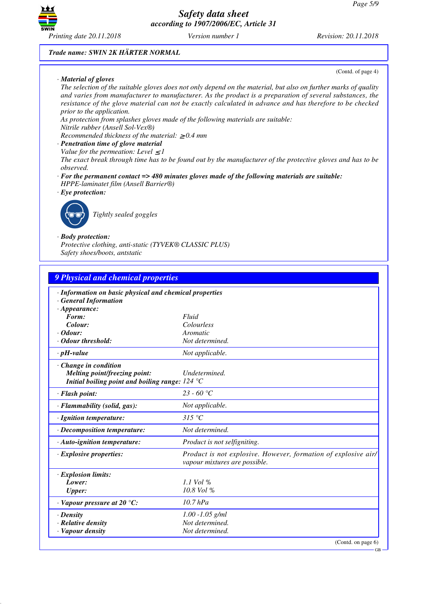

#### *Trade name: SWIN 2K HÄRTER NORMAL*

#### *· Material of gloves*

(Contd. of page 4)

*The selection of the suitable gloves does not only depend on the material, but also on further marks of quality and varies from manufacturer to manufacturer. As the product is a preparation of several substances, the resistance of the glove material can not be exactly calculated in advance and has therefore to be checked prior to the application.*

*As protection from splashes gloves made of the following materials are suitable:*

## *Nitrile rubber (Ansell Sol-Vex®)*

*Recommended thickness of the material:* ≥ *0.4 mm*

- *· Penetration time of glove material*
- *Value for the permeation: Level*  $\leq$  *I*

*The exact break through time has to be found out by the manufacturer of the protective gloves and has to be observed.*

- *· For the permanent contact => 480 minutes gloves made of the following materials are suitable: HPPE-laminatet film (Ansell Barrier®)*
- *· Eye protection:*



\_R*Tightly sealed goggles*

#### *· Body protection:*

*Protective clothing, anti-static (TYVEK® CLASSIC PLUS) Safety shoes/boots, antstatic*

| 9 Physical and chemical properties                                                                                                |                                                                                                 |  |
|-----------------------------------------------------------------------------------------------------------------------------------|-------------------------------------------------------------------------------------------------|--|
| · Information on basic physical and chemical properties<br><b>General Information</b><br>$\cdot$ Appearance:                      |                                                                                                 |  |
| Form:                                                                                                                             | Fluid                                                                                           |  |
| Colour:                                                                                                                           | Colourless                                                                                      |  |
| $\cdot$ Odour:                                                                                                                    | Aromatic                                                                                        |  |
| · Odour threshold:                                                                                                                | Not determined.                                                                                 |  |
| $\cdot$ pH-value                                                                                                                  | Not applicable.                                                                                 |  |
| · Change in condition<br>Melting point/freezing point:<br>Initial boiling point and boiling range: $124 \text{ }^{\circ}\text{C}$ | Undetermined.                                                                                   |  |
| · Flash point:                                                                                                                    | $23 - 60$ °C                                                                                    |  |
| · Flammability (solid, gas):                                                                                                      | Not applicable.                                                                                 |  |
| · Ignition temperature:                                                                                                           | 315 °C                                                                                          |  |
| · Decomposition temperature:                                                                                                      | Not determined.                                                                                 |  |
| $\cdot$ Auto-ignition temperature:                                                                                                | Product is not selfigniting.                                                                    |  |
| $\cdot$ Explosive properties:                                                                                                     | Product is not explosive. However, formation of explosive air/<br>vapour mixtures are possible. |  |
| · Explosion limits:                                                                                                               |                                                                                                 |  |
| Lower:                                                                                                                            | $1.1$ Vol %                                                                                     |  |
| <b>Upper:</b>                                                                                                                     | $10.8$ Vol %                                                                                    |  |
| $\cdot$ Vapour pressure at 20 °C:                                                                                                 | $10.7$ hPa                                                                                      |  |
| $\cdot$ Density                                                                                                                   | $1.00 - 1.05$ g/ml                                                                              |  |
| · Relative density                                                                                                                | Not determined.                                                                                 |  |
| · Vapour density                                                                                                                  | Not determined.                                                                                 |  |
|                                                                                                                                   | (Contd. on page 6)                                                                              |  |

GB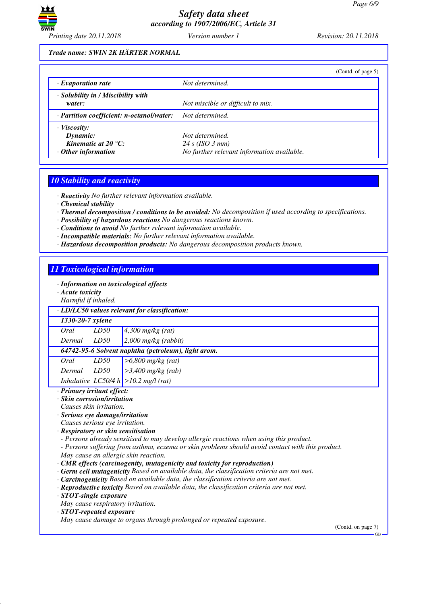

### *Trade name: SWIN 2K HÄRTER NORMAL*

|                                                                                              | (Contd. of page 5)                                                               |
|----------------------------------------------------------------------------------------------|----------------------------------------------------------------------------------|
| $\cdot$ Evaporation rate                                                                     | Not determined.                                                                  |
| $\cdot$ Solubility in / Miscibility with<br>water:                                           | Not miscible or difficult to mix.                                                |
| · Partition coefficient: n-octanol/water:                                                    | Not determined.                                                                  |
| $\cdot$ Viscosity:<br>Dynamic:<br>Kinematic at 20 $^{\circ}C$ :<br>$\cdot$ Other information | Not determined.<br>24 s (ISO 3 mm)<br>No further relevant information available. |

## *10 Stability and reactivity*

*· Reactivity No further relevant information available.*

- *· Chemical stability*
- *· Thermal decomposition / conditions to be avoided: No decomposition if used according to specifications.*
- *· Possibility of hazardous reactions No dangerous reactions known.*
- *· Conditions to avoid No further relevant information available.*
- *· Incompatible materials: No further relevant information available.*
- *· Hazardous decomposition products: No dangerous decomposition products known.*

# *11 Toxicological information*

- *· Information on toxicological effects*
- *· Acute toxicity*
- *Harmful if inhaled.*

| narmjut ij innatea.                                 |      |                                           |
|-----------------------------------------------------|------|-------------------------------------------|
| · LD/LC50 values relevant for classification:       |      |                                           |
| 1330-20-7 xylene                                    |      |                                           |
| Oral                                                | LD50 | $4,300$ mg/kg (rat)                       |
| Dermal                                              | LD50 | $2,000$ mg/kg (rabbit)                    |
| 64742-95-6 Solvent naphtha (petroleum), light arom. |      |                                           |
| Oral                                                | LD50 | $>6,800$ mg/kg (rat)                      |
| Dermal                                              | LD50 | $\geq$ 3,400 mg/kg (rab)                  |
|                                                     |      | Inhalative $ LCS0/4 h  > 10.2$ mg/l (rat) |

#### *· Primary irritant effect:*

- *· Skin corrosion/irritation*
- *Causes skin irritation.*
- *· Serious eye damage/irritation*
- *Causes serious eye irritation.*
- *· Respiratory or skin sensitisation*
- *Persons already sensitised to may develop allergic reactions when using this product.*
- *Persons suffering from asthma, eczema or skin problems should avoid contact with this product. May cause an allergic skin reaction.*
- *· CMR effects (carcinogenity, mutagenicity and toxicity for reproduction)*
- *· Germ cell mutagenicity Based on available data, the classification criteria are not met.*
- *· Carcinogenicity Based on available data, the classification criteria are not met.*
- *· Reproductive toxicity Based on available data, the classification criteria are not met.*
- *· STOT-single exposure*
- *May cause respiratory irritation.*

#### *· STOT-repeated exposure*

*May cause damage to organs through prolonged or repeated exposure.*

(Contd. on page 7)

 $\overline{G}R$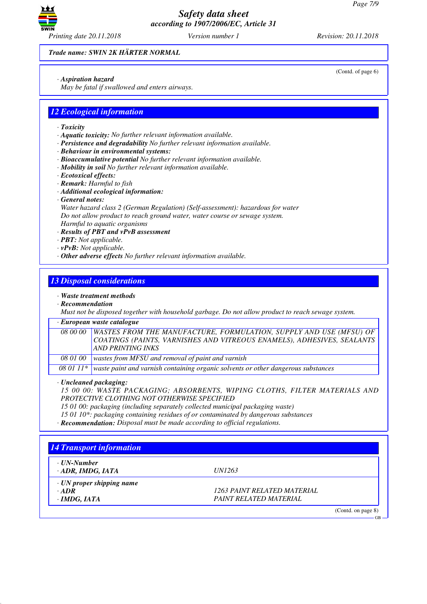

*Trade name: SWIN 2K HÄRTER NORMAL*

*· Aspiration hazard*

*May be fatal if swallowed and enters airways.*

# *12 Ecological information*

- *· Toxicity*
- *· Aquatic toxicity: No further relevant information available.*
- *· Persistence and degradability No further relevant information available.*
- *· Behaviour in environmental systems:*
- *· Bioaccumulative potential No further relevant information available.*
- *· Mobility in soil No further relevant information available.*
- *· Ecotoxical effects:*
- *· Remark: Harmful to fish*
- *· Additional ecological information:*
- *· General notes:*

*Water hazard class 2 (German Regulation) (Self-assessment): hazardous for water Do not allow product to reach ground water, water course or sewage system. Harmful to aquatic organisms*

- *· Results of PBT and vPvB assessment*
- *· PBT: Not applicable.*
- *· vPvB: Not applicable.*
- *· Other adverse effects No further relevant information available.*

# *13 Disposal considerations*

*· Waste treatment methods*

*· Recommendation*

*Must not be disposed together with household garbage. Do not allow product to reach sewage system.*

#### *· European waste catalogue*

*08 00 00 WASTES FROM THE MANUFACTURE, FORMULATION, SUPPLY AND USE (MFSU) OF COATINGS (PAINTS, VARNISHES AND VITREOUS ENAMELS), ADHESIVES, SEALANTS AND PRINTING INKS 08 01 00 wastes from MFSU and removal of paint and varnish*

*08 01 11\* waste paint and varnish containing organic solvents or other dangerous substances*

*· Uncleaned packaging:*

*15 00 00: WASTE PACKAGING; ABSORBENTS, WIPING CLOTHS, FILTER MATERIALS AND PROTECTIVE CLOTHING NOT OTHERWISE SPECIFIED*

- *15 01 00: packaging (including separately collected municipal packaging waste)*
- *15 01 10\*: packaging containing residues of or contaminated by dangerous substances*
- *· Recommendation: Disposal must be made according to official regulations.*

# *14 Transport information · UN-Number · ADR, IMDG, IATA UN1263 · UN proper shipping name · ADR 1263 PAINT RELATED MATERIAL · IMDG, IATA PAINT RELATED MATERIAL* (Contd. on page 8) GB

(Contd. of page 6)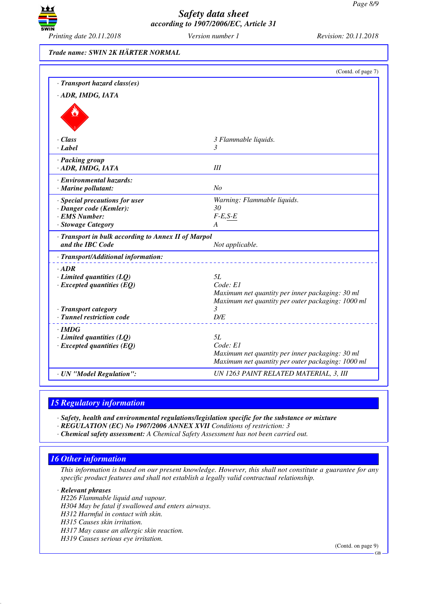

*Trade name: SWIN 2K HÄRTER NORMAL*

|                                                                     | (Contd. of page 7)                                     |
|---------------------------------------------------------------------|--------------------------------------------------------|
| · Transport hazard class(es)                                        |                                                        |
| · ADR, IMDG, IATA                                                   |                                                        |
|                                                                     |                                                        |
|                                                                     |                                                        |
|                                                                     |                                                        |
| · Class                                                             |                                                        |
| $\cdot$ Label                                                       | 3 Flammable liquids.<br>3                              |
|                                                                     |                                                        |
| · Packing group<br>· ADR, IMDG, IATA                                | III                                                    |
|                                                                     |                                                        |
| · Environmental hazards:                                            |                                                        |
| · Marine pollutant:                                                 | N <sub>O</sub>                                         |
| · Special precautions for user                                      | Warning: Flammable liquids.                            |
| · Danger code (Kemler):                                             | 30                                                     |
| · EMS Number:                                                       | $F-E,S-E$                                              |
| · Stowage Category                                                  | A                                                      |
| · Transport in bulk according to Annex II of Marpol                 |                                                        |
| and the IBC Code                                                    | Not applicable.                                        |
| · Transport/Additional information:                                 |                                                        |
| $\cdot$ ADR                                                         |                                                        |
| $\cdot$ Limited quantities (LQ)                                     | 5L                                                     |
| $\cdot$ Excepted quantities (EQ)                                    | Code: El                                               |
|                                                                     | Maximum net quantity per inner packaging: 30 ml        |
|                                                                     | Maximum net quantity per outer packaging: 1000 ml<br>3 |
| · Transport category<br>· Tunnel restriction code                   | D/E                                                    |
|                                                                     |                                                        |
| $\cdot$ IMDG                                                        | 5L                                                     |
| $\cdot$ Limited quantities (LQ)<br>$\cdot$ Excepted quantities (EQ) | Code: E1                                               |
|                                                                     | Maximum net quantity per inner packaging: 30 ml        |
|                                                                     | Maximum net quantity per outer packaging: 1000 ml      |
| · UN "Model Regulation":                                            | UN 1263 PAINT RELATED MATERIAL, 3, III                 |
|                                                                     |                                                        |

## *15 Regulatory information*

*· Safety, health and environmental regulations/legislation specific for the substance or mixture*

*· REGULATION (EC) No 1907/2006 ANNEX XVII Conditions of restriction: 3*

*· Chemical safety assessment: A Chemical Safety Assessment has not been carried out.*

# *16 Other information*

*This information is based on our present knowledge. However, this shall not constitute a guarantee for any specific product features and shall not establish a legally valid contractual relationship.*

*· Relevant phrases*

*H226 Flammable liquid and vapour.*

*H304 May be fatal if swallowed and enters airways.*

*H312 Harmful in contact with skin.*

*H315 Causes skin irritation.*

*H317 May cause an allergic skin reaction.*

*H319 Causes serious eye irritation.*

(Contd. on page 9)

GB